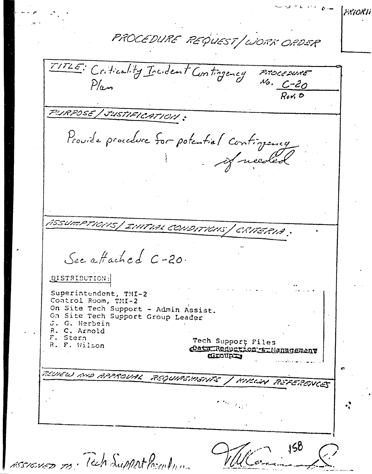$\label{eq:2.1} \mathcal{Q} = \mathcal{L} \left( \mathcal{C} \right) \mathcal{C} \left( \mathcal{Q} \right) \mathcal{L} \left( \mathcal{Q} \right)$ FRIORII PROCEDURE REQUEST/WORK ORDER TITLE: Criticality Incident Contingency Procesure  $\frac{N_{0}}{R_{c}N_{0}}$  $P/\mu$ PURPOSE / JUSTIFICATION : Provide procedure for potential continuacy Jueded ASSUMPTIONS | INITIAL CONDITIONS | CRITERIA : See affached C-20. DISTRIBUTION: Superintendent, TMI-2 Control Room, TMI-2 On Site Tech Support - Admin Assist. On Site Tech Support Group Leader J. G. Herbein R. C. Arnold F. Stern Tech Support Files R. F. Wilson Data Reduction & Management **CECUPE** REVIEW AND APPROVAL REQUIREMENTS / KIKWIN REFERENCES 158 ASSIGNED To Tech Support Procedum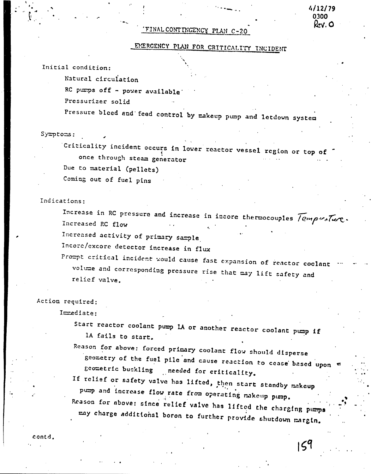# FINAL CONTINGENCY PLAN C-20

# EMERGENCY PLAN FOR CRITICALITY INCIDENT

4/12/79 ۱۹۸۸ w. O

159

Initial condition:

Natural circulation

RC pumps off - power available

Pressurizer solid

Pressure bleed and feed control by makeup pump and letdown system

#### Symptoms:

Criticality incident occurs in lower reactor vessel region or top of once through steam generator Due to material (pellets)

Coming out of fuel pins

Indications:

Increase in RC pressure and increase in incore thermocouples Temperature. Increased RC flow

Increased activity of primary sample

Incore/excore detector increase in flux

Prompt critical incident would cause fast expansion of reactor coclant volume and corresponding pressure rise that may lift safety and relief valve.

## Action required:

Immediate:

Start reactor coolant pump 1A or another reactor coolant pump if lA fails to start.

Reason for above: forced primary coolant flow should disperse geometry of the fuel pile and cause reaction to cease based upon " geometric buckling needed for criticality.

If relief or safety valve has lifted, then start standby makeup pump and increase flow rate from operating makeup pump.

Reason for above: since relief valve has lifted the charging pumps may charge additional boron to further provide shutdown margin.

contd.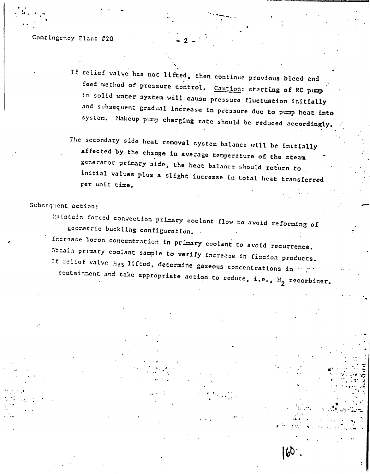#### Contingency Plant #20

- If relief valye has not lifted, then continue previous bleed and feed method of pressure control. Caution: starting of RC pump in solid water system will cause pressure fluctuation initially. and subsequent gradual increase in pressure due to pump heat into system. Makeup pump charging rate should be reduced accordingly.
- The secondary side heat removal system balance will be initially affected by the change in average temperature of the steam generator primary side, the heat balance should return to initial values plus a slight increase in total heat transferred per unit time.

## Subsequent action:

Maintain forced convection primary coolant flow to avoid reforming of geometric buckling configuration. Increase boron concentration in primary coolant to avoid recurrence. Obtain primary coolant sample to verify increase in fission products. If relief valve has lifted, determine gaseous concentrations in many containment and take appropriate action to reduce, i.e., H<sub>2</sub> recombiner.